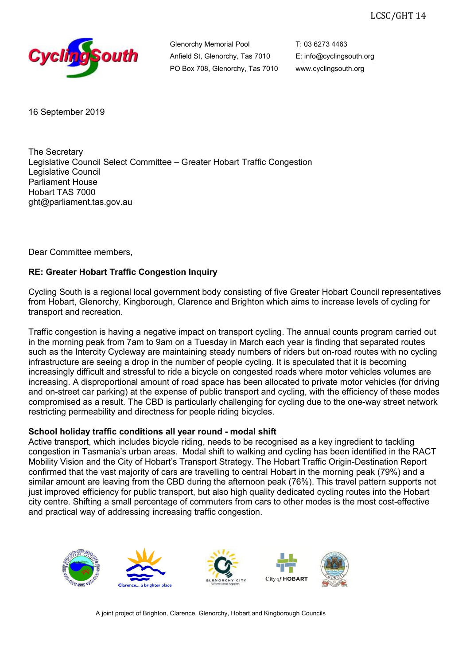

Glenorchy Memorial Pool Anfield St, Glenorchy, Tas 7010 PO Box 708, Glenorchy, Tas 7010 T: 03 6273 4463 E: info@cyclingsouth.org www.cyclingsouth.org

16 September 2019

The Secretary Legislative Council Select Committee – Greater Hobart Traffic Congestion Legislative Council Parliament House Hobart TAS 7000 ght@parliament.tas.gov.au

Dear Committee members,

## **RE: Greater Hobart Traffic Congestion Inquiry**

Cycling South is a regional local government body consisting of five Greater Hobart Council representatives from Hobart, Glenorchy, Kingborough, Clarence and Brighton which aims to increase levels of cycling for transport and recreation.

Traffic congestion is having a negative impact on transport cycling. The annual counts program carried out in the morning peak from 7am to 9am on a Tuesday in March each year is finding that separated routes such as the Intercity Cycleway are maintaining steady numbers of riders but on-road routes with no cycling infrastructure are seeing a drop in the number of people cycling. It is speculated that it is becoming increasingly difficult and stressful to ride a bicycle on congested roads where motor vehicles volumes are increasing. A disproportional amount of road space has been allocated to private motor vehicles (for driving and on-street car parking) at the expense of public transport and cycling, with the efficiency of these modes compromised as a result. The CBD is particularly challenging for cycling due to the one-way street network restricting permeability and directness for people riding bicycles.

### **School holiday traffic conditions all year round - modal shift**

Active transport, which includes bicycle riding, needs to be recognised as a key ingredient to tackling congestion in Tasmania's urban areas. Modal shift to walking and cycling has been identified in the RACT Mobility Vision and the City of Hobart's Transport Strategy. The Hobart Traffic Origin-Destination Report confirmed that the vast majority of cars are travelling to central Hobart in the morning peak (79%) and a similar amount are leaving from the CBD during the afternoon peak (76%). This travel pattern supports not just improved efficiency for public transport, but also high quality dedicated cycling routes into the Hobart city centre. Shifting a small percentage of commuters from cars to other modes is the most cost-effective and practical way of addressing increasing traffic congestion.



A joint project of Brighton, Clarence, Glenorchy, Hobart and Kingborough Councils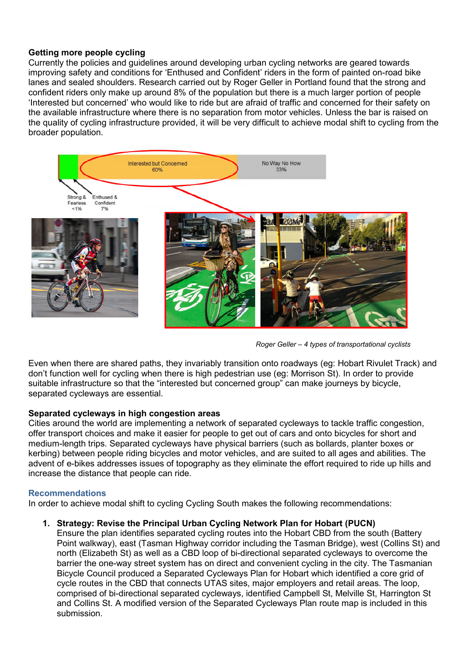### **Getting more people cycling**

Currently the policies and guidelines around developing urban cycling networks are geared towards improving safety and conditions for 'Enthused and Confident' riders in the form of painted on-road bike lanes and sealed shoulders. Research carried out by Roger Geller in Portland found that the strong and confident riders only make up around 8% of the population but there is a much larger portion of people 'Interested but concerned' who would like to ride but are afraid of traffic and concerned for their safety on the available infrastructure where there is no separation from motor vehicles. Unless the bar is raised on the quality of cycling infrastructure provided, it will be very difficult to achieve modal shift to cycling from the broader population.



*Roger Geller – 4 types of transportational cyclists*

Even when there are shared paths, they invariably transition onto roadways (eg: Hobart Rivulet Track) and don't function well for cycling when there is high pedestrian use (eg: Morrison St). In order to provide suitable infrastructure so that the "interested but concerned group" can make journeys by bicycle, separated cycleways are essential.

### **Separated cycleways in high congestion areas**

Cities around the world are implementing a network of separated cycleways to tackle traffic congestion, offer transport choices and make it easier for people to get out of cars and onto bicycles for short and medium-length trips. Separated cycleways have physical barriers (such as bollards, planter boxes or kerbing) between people riding bicycles and motor vehicles, and are suited to all ages and abilities. The advent of e-bikes addresses issues of topography as they eliminate the effort required to ride up hills and increase the distance that people can ride.

### **Recommendations**

In order to achieve modal shift to cycling Cycling South makes the following recommendations:

### **1. Strategy: Revise the Principal Urban Cycling Network Plan for Hobart (PUCN)**

Ensure the plan identifies separated cycling routes into the Hobart CBD from the south (Battery Point walkway), east (Tasman Highway corridor including the Tasman Bridge), west (Collins St) and north (Elizabeth St) as well as a CBD loop of bi-directional separated cycleways to overcome the barrier the one-way street system has on direct and convenient cycling in the city. The Tasmanian Bicycle Council produced a Separated Cycleways Plan for Hobart which identified a core grid of cycle routes in the CBD that connects UTAS sites, major employers and retail areas. The loop, comprised of bi-directional separated cycleways, identified Campbell St, Melville St, Harrington St and Collins St. A modified version of the Separated Cycleways Plan route map is included in this submission.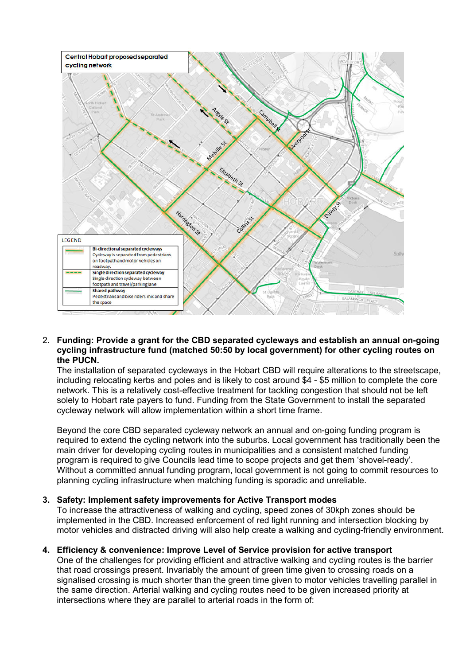

#### 2. **Funding: Provide a grant for the CBD separated cycleways and establish an annual on-going cycling infrastructure fund (matched 50:50 by local government) for other cycling routes on the PUCN.**

The installation of separated cycleways in the Hobart CBD will require alterations to the streetscape, including relocating kerbs and poles and is likely to cost around \$4 - \$5 million to complete the core network. This is a relatively cost-effective treatment for tackling congestion that should not be left solely to Hobart rate payers to fund. Funding from the State Government to install the separated cycleway network will allow implementation within a short time frame.

Beyond the core CBD separated cycleway network an annual and on-going funding program is required to extend the cycling network into the suburbs. Local government has traditionally been the main driver for developing cycling routes in municipalities and a consistent matched funding program is required to give Councils lead time to scope projects and get them 'shovel-ready'. Without a committed annual funding program, local government is not going to commit resources to planning cycling infrastructure when matching funding is sporadic and unreliable.

### **3. Safety: Implement safety improvements for Active Transport modes**

To increase the attractiveness of walking and cycling, speed zones of 30kph zones should be implemented in the CBD. Increased enforcement of red light running and intersection blocking by motor vehicles and distracted driving will also help create a walking and cycling-friendly environment.

### **4. Efficiency & convenience: Improve Level of Service provision for active transport**

One of the challenges for providing efficient and attractive walking and cycling routes is the barrier that road crossings present. Invariably the amount of green time given to crossing roads on a signalised crossing is much shorter than the green time given to motor vehicles travelling parallel in the same direction. Arterial walking and cycling routes need to be given increased priority at intersections where they are parallel to arterial roads in the form of: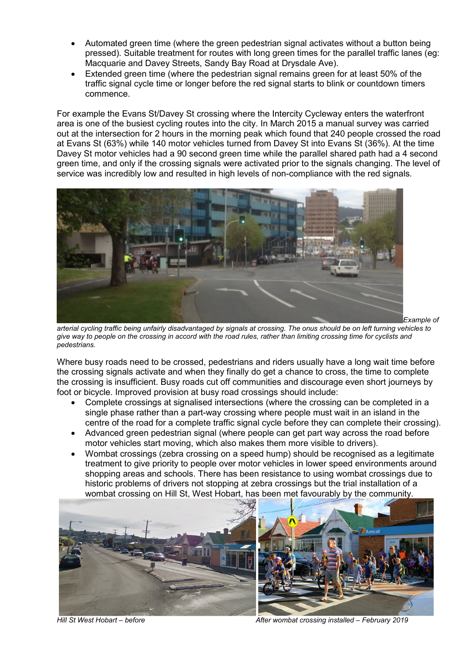- Automated green time (where the green pedestrian signal activates without a button being pressed). Suitable treatment for routes with long green times for the parallel traffic lanes (eg: Macquarie and Davey Streets, Sandy Bay Road at Drysdale Ave).
- Extended green time (where the pedestrian signal remains green for at least 50% of the traffic signal cycle time or longer before the red signal starts to blink or countdown timers commence.

For example the Evans St/Davey St crossing where the Intercity Cycleway enters the waterfront area is one of the busiest cycling routes into the city. In March 2015 a manual survey was carried out at the intersection for 2 hours in the morning peak which found that 240 people crossed the road at Evans St (63%) while 140 motor vehicles turned from Davey St into Evans St (36%). At the time Davey St motor vehicles had a 90 second green time while the parallel shared path had a 4 second green time, and only if the crossing signals were activated prior to the signals changing. The level of service was incredibly low and resulted in high levels of non-compliance with the red signals.



*Example of* 

*arterial cycling traffic being unfairly disadvantaged by signals at crossing. The onus should be on left turning vehicles to give way to people on the crossing in accord with the road rules, rather than limiting crossing time for cyclists and pedestrians.* 

Where busy roads need to be crossed, pedestrians and riders usually have a long wait time before the crossing signals activate and when they finally do get a chance to cross, the time to complete the crossing is insufficient. Busy roads cut off communities and discourage even short journeys by foot or bicycle. Improved provision at busy road crossings should include:

- Complete crossings at signalised intersections (where the crossing can be completed in a single phase rather than a part-way crossing where people must wait in an island in the centre of the road for a complete traffic signal cycle before they can complete their crossing).
- Advanced green pedestrian signal (where people can get part way across the road before motor vehicles start moving, which also makes them more visible to drivers).
- Wombat crossings (zebra crossing on a speed hump) should be recognised as a legitimate treatment to give priority to people over motor vehicles in lower speed environments around shopping areas and schools. There has been resistance to using wombat crossings due to historic problems of drivers not stopping at zebra crossings but the trial installation of a wombat crossing on Hill St, West Hobart, has been met favourably by the community.



*Hill St West Hobart – before After wombat crossing installed – February 2019*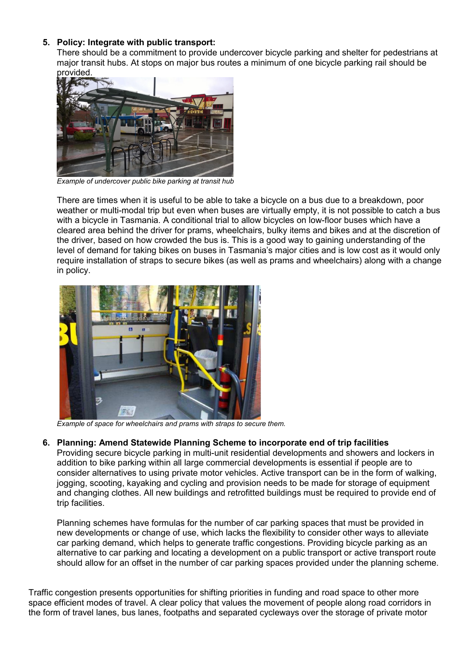# **5. Policy: Integrate with public transport:**

There should be a commitment to provide undercover bicycle parking and shelter for pedestrians at major transit hubs. At stops on major bus routes a minimum of one bicycle parking rail should be provided.



*Example of undercover public bike parking at transit hub* 

There are times when it is useful to be able to take a bicycle on a bus due to a breakdown, poor weather or multi-modal trip but even when buses are virtually empty, it is not possible to catch a bus with a bicycle in Tasmania. A conditional trial to allow bicycles on low-floor buses which have a cleared area behind the driver for prams, wheelchairs, bulky items and bikes and at the discretion of the driver, based on how crowded the bus is. This is a good way to gaining understanding of the level of demand for taking bikes on buses in Tasmania's major cities and is low cost as it would only require installation of straps to secure bikes (as well as prams and wheelchairs) along with a change in policy.



*Example of space for wheelchairs and prams with straps to secure them.* 

### **6. Planning: Amend Statewide Planning Scheme to incorporate end of trip facilities**

Providing secure bicycle parking in multi-unit residential developments and showers and lockers in addition to bike parking within all large commercial developments is essential if people are to consider alternatives to using private motor vehicles. Active transport can be in the form of walking, jogging, scooting, kayaking and cycling and provision needs to be made for storage of equipment and changing clothes. All new buildings and retrofitted buildings must be required to provide end of trip facilities.

Planning schemes have formulas for the number of car parking spaces that must be provided in new developments or change of use, which lacks the flexibility to consider other ways to alleviate car parking demand, which helps to generate traffic congestions. Providing bicycle parking as an alternative to car parking and locating a development on a public transport or active transport route should allow for an offset in the number of car parking spaces provided under the planning scheme.

Traffic congestion presents opportunities for shifting priorities in funding and road space to other more space efficient modes of travel. A clear policy that values the movement of people along road corridors in the form of travel lanes, bus lanes, footpaths and separated cycleways over the storage of private motor